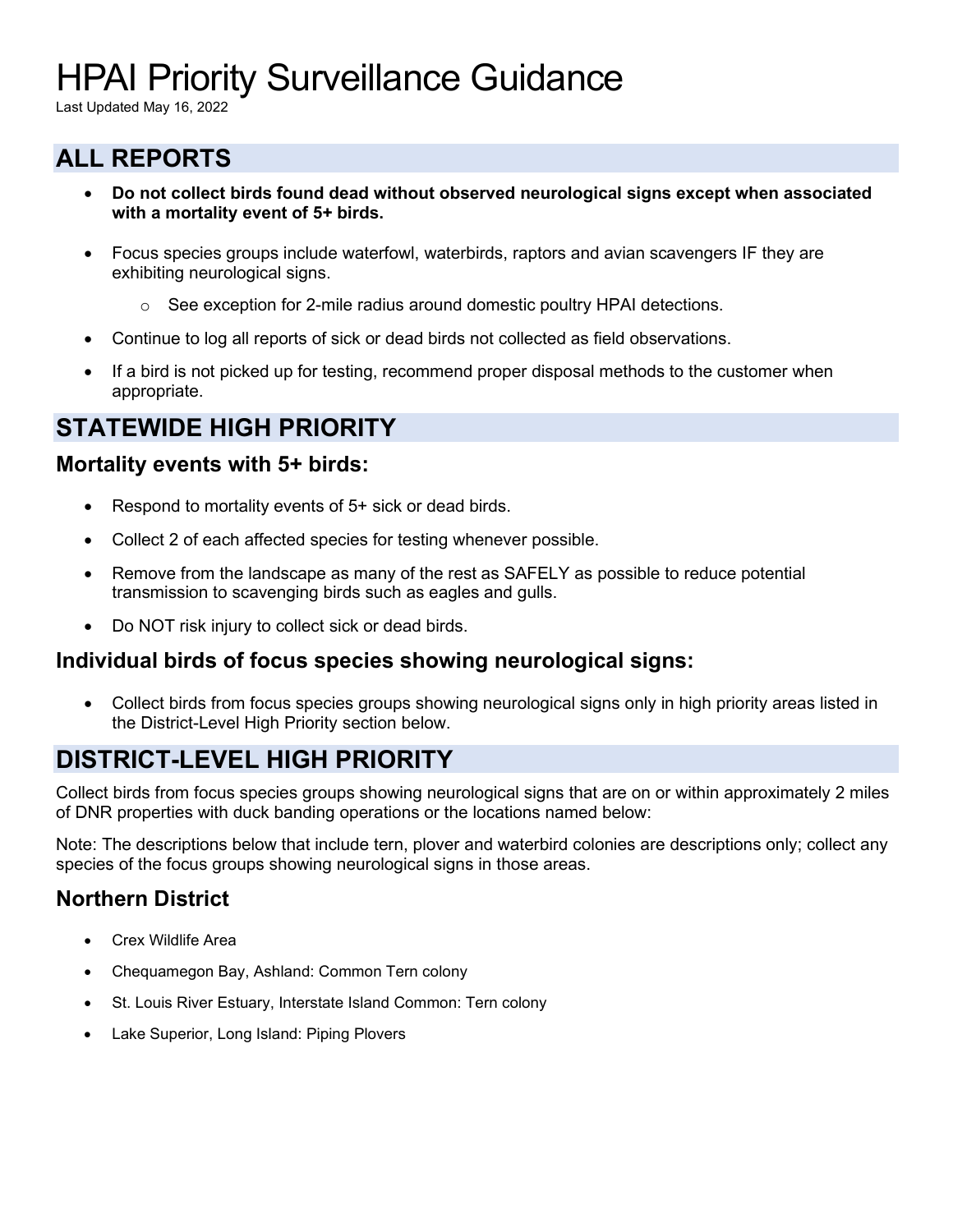# HPAI Priority Surveillance Guidance

Last Updated May 16, 2022

### **ALL REPORTS**

- **Do not collect birds found dead without observed neurological signs except when associated with a mortality event of 5+ birds.**
- Focus species groups include waterfowl, waterbirds, raptors and avian scavengers IF they are exhibiting neurological signs.
	- $\circ$  See exception for 2-mile radius around domestic poultry HPAI detections.
- Continue to log all reports of sick or dead birds not collected as field observations.
- If a bird is not picked up for testing, recommend proper disposal methods to the customer when appropriate.

# **STATEWIDE HIGH PRIORITY**

#### **Mortality events with 5+ birds:**

- Respond to mortality events of 5+ sick or dead birds.
- Collect 2 of each affected species for testing whenever possible.
- Remove from the landscape as many of the rest as SAFELY as possible to reduce potential transmission to scavenging birds such as eagles and gulls.
- Do NOT risk injury to collect sick or dead birds.

#### **Individual birds of focus species showing neurological signs:**

• Collect birds from focus species groups showing neurological signs only in high priority areas listed in the District-Level High Priority section below.

# **DISTRICT-LEVEL HIGH PRIORITY**

Collect birds from focus species groups showing neurological signs that are on or within approximately 2 miles of DNR properties with duck banding operations or the locations named below:

Note: The descriptions below that include tern, plover and waterbird colonies are descriptions only; collect any species of the focus groups showing neurological signs in those areas.

#### **Northern District**

- Crex Wildlife Area
- Chequamegon Bay, Ashland: Common Tern colony
- St. Louis River Estuary, Interstate Island Common: Tern colony
- Lake Superior, Long Island: Piping Plovers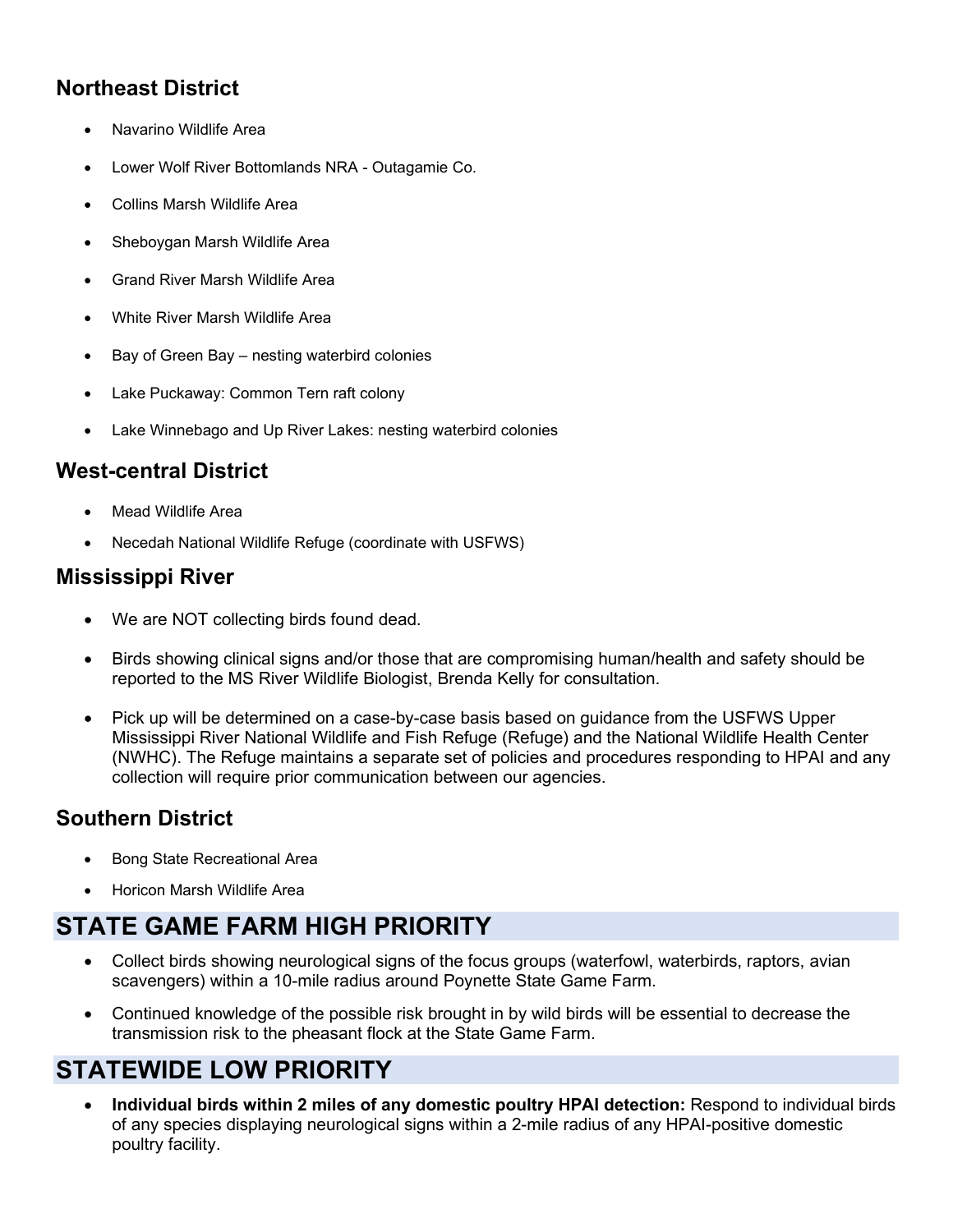#### **Northeast District**

- Navarino Wildlife Area
- Lower Wolf River Bottomlands NRA Outagamie Co.
- Collins Marsh Wildlife Area
- Sheboygan Marsh Wildlife Area
- Grand River Marsh Wildlife Area
- White River Marsh Wildlife Area
- Bay of Green Bay nesting waterbird colonies
- Lake Puckaway: Common Tern raft colony
- Lake Winnebago and Up River Lakes: nesting waterbird colonies

#### **West-central District**

- Mead Wildlife Area
- Necedah National Wildlife Refuge (coordinate with USFWS)

#### **Mississippi River**

- We are NOT collecting birds found dead.
- Birds showing clinical signs and/or those that are compromising human/health and safety should be reported to the MS River Wildlife Biologist, Brenda Kelly for consultation.
- Pick up will be determined on a case-by-case basis based on guidance from the USFWS Upper Mississippi River National Wildlife and Fish Refuge (Refuge) and the National Wildlife Health Center (NWHC). The Refuge maintains a separate set of policies and procedures responding to HPAI and any collection will require prior communication between our agencies.

#### **Southern District**

- Bong State Recreational Area
- Horicon Marsh Wildlife Area

# **STATE GAME FARM HIGH PRIORITY**

- Collect birds showing neurological signs of the focus groups (waterfowl, waterbirds, raptors, avian scavengers) within a 10-mile radius around Poynette State Game Farm.
- Continued knowledge of the possible risk brought in by wild birds will be essential to decrease the transmission risk to the pheasant flock at the State Game Farm.

# **STATEWIDE LOW PRIORITY**

• **Individual birds within 2 miles of any domestic poultry HPAI detection:** Respond to individual birds of any species displaying neurological signs within a 2-mile radius of any HPAI-positive domestic poultry facility.